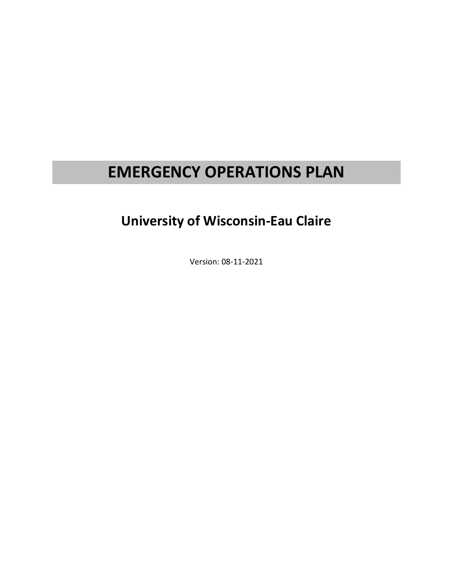# **EMERGENCY OPERATIONS PLAN**

# **University of Wisconsin-Eau Claire**

Version: 08-11-2021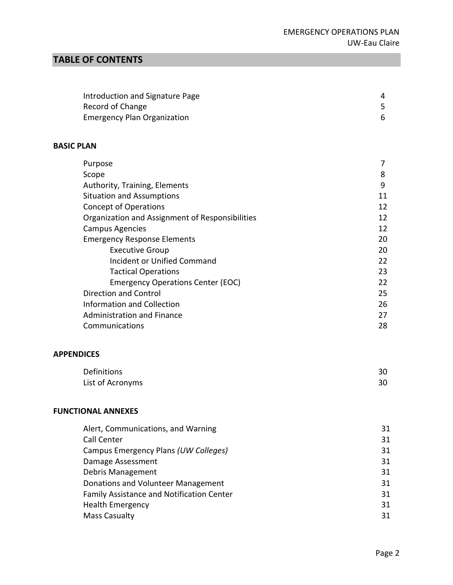# **TABLE OF CONTENTS**

| Introduction and Signature Page    |  |
|------------------------------------|--|
| Record of Change                   |  |
| <b>Emergency Plan Organization</b> |  |

#### **BASIC PLAN**

| Purpose                                         | 7  |
|-------------------------------------------------|----|
| Scope                                           | 8  |
| Authority, Training, Elements                   | 9  |
| <b>Situation and Assumptions</b>                |    |
| <b>Concept of Operations</b>                    | 12 |
| Organization and Assignment of Responsibilities | 12 |
| <b>Campus Agencies</b>                          | 12 |
| <b>Emergency Response Elements</b>              | 20 |
| <b>Executive Group</b>                          | 20 |
| <b>Incident or Unified Command</b>              | 22 |
| <b>Tactical Operations</b>                      | 23 |
| <b>Emergency Operations Center (EOC)</b>        | 22 |
| Direction and Control                           | 25 |
| Information and Collection                      | 26 |
| <b>Administration and Finance</b>               |    |
| Communications                                  | 28 |
|                                                 |    |

# **APPENDICES**

| Definitions      | 30 |
|------------------|----|
| List of Acronyms | 30 |

## **FUNCTIONAL ANNEXES**

| 31 |
|----|
| 31 |
| 31 |
| 31 |
| 31 |
| 31 |
| 31 |
| 31 |
| 31 |
|    |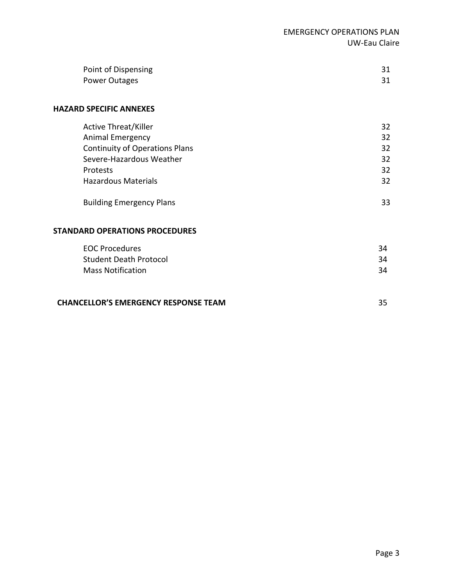| Point of Dispensing |  |
|---------------------|--|
| Power Outages       |  |

#### **HAZARD SPECIFIC ANNEXES**

| <b>Active Threat/Killer</b><br>Animal Emergency |    |
|-------------------------------------------------|----|
|                                                 | 32 |
|                                                 | 32 |
| <b>Continuity of Operations Plans</b>           | 32 |
| Severe-Hazardous Weather                        | 32 |
| Protests                                        | 32 |
| <b>Hazardous Materials</b>                      | 32 |
|                                                 |    |
| <b>Building Emergency Plans</b>                 | 33 |

#### **STANDARD OPERATIONS PROCEDURES**

| EOC Procedures                | 34 |
|-------------------------------|----|
| <b>Student Death Protocol</b> | 34 |
| <b>Mass Notification</b>      | 34 |

#### **CHANCELLOR'S EMERGENCY RESPONSE TEAM**

35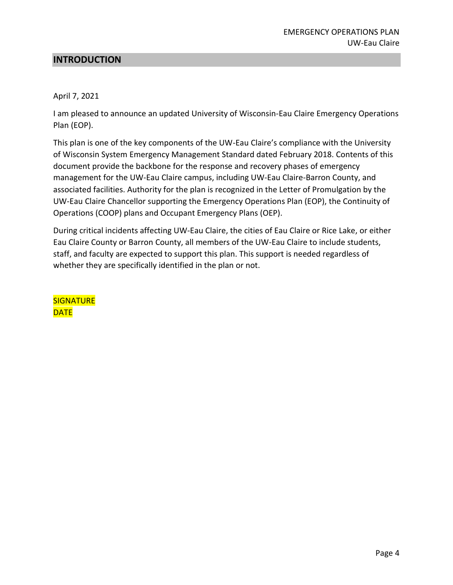# **INTRODUCTION**

#### April 7, 2021

I am pleased to announce an updated University of Wisconsin-Eau Claire Emergency Operations Plan (EOP).

This plan is one of the key components of the UW-Eau Claire's compliance with the University of Wisconsin System Emergency Management Standard dated February 2018. Contents of this document provide the backbone for the response and recovery phases of emergency management for the UW-Eau Claire campus, including UW-Eau Claire-Barron County, and associated facilities. Authority for the plan is recognized in the Letter of Promulgation by the UW-Eau Claire Chancellor supporting the Emergency Operations Plan (EOP), the Continuity of Operations (COOP) plans and Occupant Emergency Plans (OEP).

During critical incidents affecting UW-Eau Claire, the cities of Eau Claire or Rice Lake, or either Eau Claire County or Barron County, all members of the UW-Eau Claire to include students, staff, and faculty are expected to support this plan. This support is needed regardless of whether they are specifically identified in the plan or not.

**SIGNATURE DATE**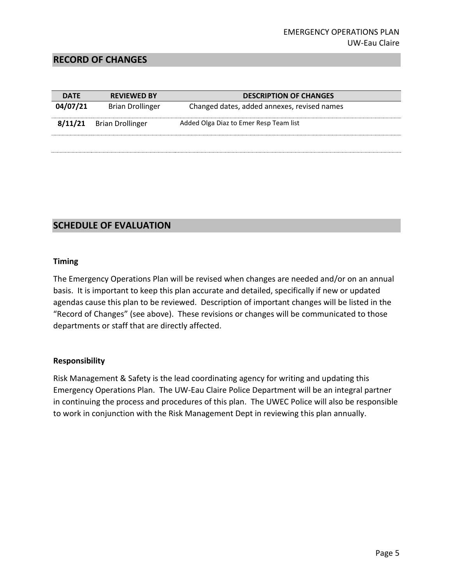### **RECORD OF CHANGES**

| <b>DATE</b> | <b>REVIEWED BY</b>      | <b>DESCRIPTION OF CHANGES</b>               |
|-------------|-------------------------|---------------------------------------------|
| 04/07/21    | <b>Brian Drollinger</b> | Changed dates, added annexes, revised names |
| 8/11/21     | <b>Brian Drollinger</b> | Added Olga Diaz to Emer Resp Team list      |
|             |                         |                                             |

# **SCHEDULE OF EVALUATION**

#### **Timing**

The Emergency Operations Plan will be revised when changes are needed and/or on an annual basis. It is important to keep this plan accurate and detailed, specifically if new or updated agendas cause this plan to be reviewed. Description of important changes will be listed in the "Record of Changes" (see above). These revisions or changes will be communicated to those departments or staff that are directly affected.

#### **Responsibility**

Risk Management & Safety is the lead coordinating agency for writing and updating this Emergency Operations Plan. The UW-Eau Claire Police Department will be an integral partner in continuing the process and procedures of this plan. The UWEC Police will also be responsible to work in conjunction with the Risk Management Dept in reviewing this plan annually.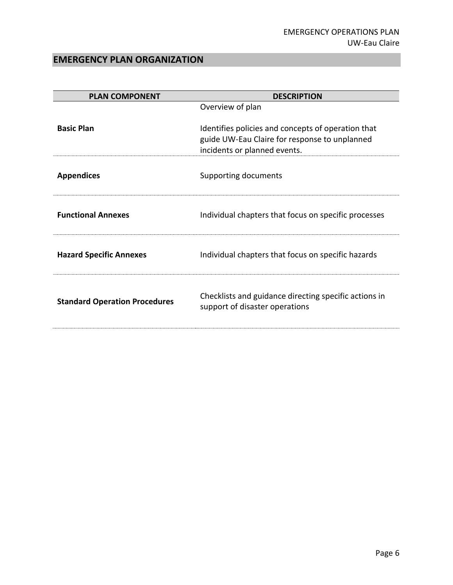# **EMERGENCY PLAN ORGANIZATION**

| <b>PLAN COMPONENT</b>                | <b>DESCRIPTION</b>                                                                                                                  |
|--------------------------------------|-------------------------------------------------------------------------------------------------------------------------------------|
|                                      | Overview of plan                                                                                                                    |
| <b>Basic Plan</b>                    | Identifies policies and concepts of operation that<br>guide UW-Eau Claire for response to unplanned<br>incidents or planned events. |
| <b>Appendices</b>                    | Supporting documents                                                                                                                |
| <b>Functional Annexes</b>            | Individual chapters that focus on specific processes                                                                                |
| <b>Hazard Specific Annexes</b>       | Individual chapters that focus on specific hazards                                                                                  |
| <b>Standard Operation Procedures</b> | Checklists and guidance directing specific actions in<br>support of disaster operations                                             |
|                                      |                                                                                                                                     |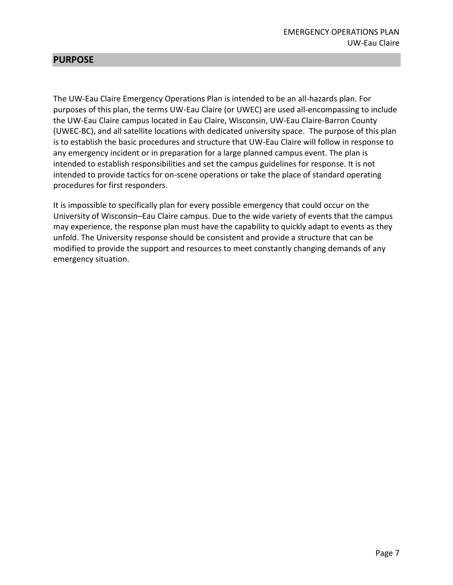# **PURPOSE**

The UW-Eau Claire Emergency Operations Plan is intended to be an all-hazards plan. For purposes of this plan, the terms UW-Eau Claire (or UWEC) are used all-encompassing to include the UW-Eau Claire campus located in Eau Claire, Wisconsin, UW-Eau Claire-Barron County (UWEC-BC), and all satellite locations with dedicated university space. The purpose of this plan is to establish the basic procedures and structure that UW-Eau Claire will follow in response to any emergency incident or in preparation for a large planned campus event. The plan is intended to establish responsibilities and set the campus guidelines for response. It is not intended to provide tactics for on-scene operations or take the place of standard operating procedures for first responders.

It is impossible to specifically plan for every possible emergency that could occur on the University of Wisconsin–Eau Claire campus. Due to the wide variety of events that the campus may experience, the response plan must have the capability to quickly adapt to events as they unfold. The University response should be consistent and provide a structure that can be modified to provide the support and resources to meet constantly changing demands of any emergency situation.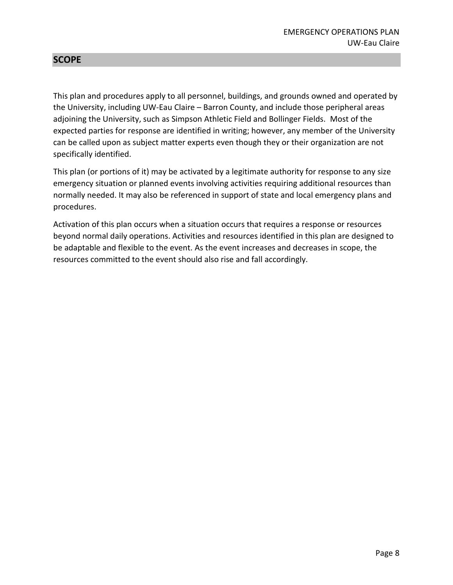# **SCOPE**

This plan and procedures apply to all personnel, buildings, and grounds owned and operated by the University, including UW-Eau Claire – Barron County, and include those peripheral areas adjoining the University, such as Simpson Athletic Field and Bollinger Fields. Most of the expected parties for response are identified in writing; however, any member of the University can be called upon as subject matter experts even though they or their organization are not specifically identified.

This plan (or portions of it) may be activated by a legitimate authority for response to any size emergency situation or planned events involving activities requiring additional resources than normally needed. It may also be referenced in support of state and local emergency plans and procedures.

Activation of this plan occurs when a situation occurs that requires a response or resources beyond normal daily operations. Activities and resources identified in this plan are designed to be adaptable and flexible to the event. As the event increases and decreases in scope, the resources committed to the event should also rise and fall accordingly.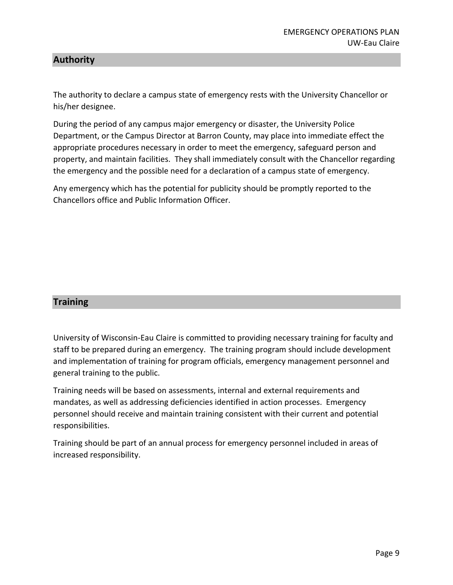# **Authority**

The authority to declare a campus state of emergency rests with the University Chancellor or his/her designee.

During the period of any campus major emergency or disaster, the University Police Department, or the Campus Director at Barron County, may place into immediate effect the appropriate procedures necessary in order to meet the emergency, safeguard person and property, and maintain facilities. They shall immediately consult with the Chancellor regarding the emergency and the possible need for a declaration of a campus state of emergency.

Any emergency which has the potential for publicity should be promptly reported to the Chancellors office and Public Information Officer.

# **Training**

University of Wisconsin-Eau Claire is committed to providing necessary training for faculty and staff to be prepared during an emergency. The training program should include development and implementation of training for program officials, emergency management personnel and general training to the public.

Training needs will be based on assessments, internal and external requirements and mandates, as well as addressing deficiencies identified in action processes. Emergency personnel should receive and maintain training consistent with their current and potential responsibilities.

Training should be part of an annual process for emergency personnel included in areas of increased responsibility.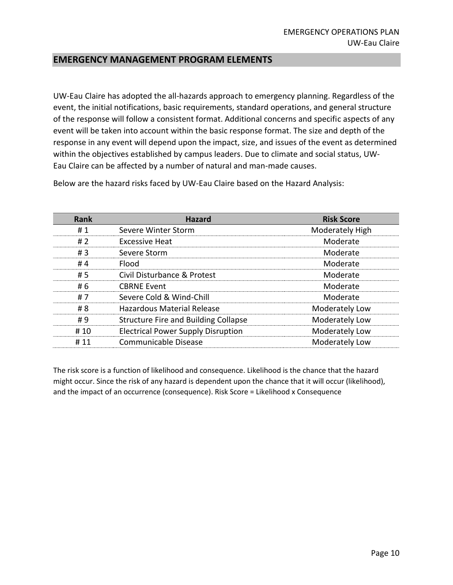## **EMERGENCY MANAGEMENT PROGRAM ELEMENTS**

UW-Eau Claire has adopted the all-hazards approach to emergency planning. Regardless of the event, the initial notifications, basic requirements, standard operations, and general structure of the response will follow a consistent format. Additional concerns and specific aspects of any event will be taken into account within the basic response format. The size and depth of the response in any event will depend upon the impact, size, and issues of the event as determined within the objectives established by campus leaders. Due to climate and social status, UW-Eau Claire can be affected by a number of natural and man-made causes.

**Rank Hazard Risk Score** #1 [Severe Winter Storm](https://uw.isc-cemp.com/Cemp/Details/272050) **Moderately High** Moderately High # 2 [Excessive Heat](https://uw.isc-cemp.com/Cemp/Details/272068) Moderate # 3 [Severe Storm](https://uw.isc-cemp.com/Cemp/Details/272055) Moderate #4 [Flood](https://uw.isc-cemp.com/Cemp/Details/272035) Moderate # 5 [Civil Disturbance](https://uw.isc-cemp.com/Cemp/Details/272115) & Protest Moderate #6 [CBRNE Event](https://uw.isc-cemp.com/Cemp/Details/272120) CREASE CREASE CREASE AND CREASE CREASE Moderate # 7 [Severe Cold & Wind-Chill](https://uw.isc-cemp.com/Cemp/Details/1098764) Moderate #8 [Hazardous Material Release](https://uw.isc-cemp.com/Cemp/Details/272089) Moderately Low # 9 [Structure Fire and Building Collapse](https://uw.isc-cemp.com/Cemp/Details/272109) **Moderately Low** #10 [Electrical Power Supply Disruption](https://uw.isc-cemp.com/Cemp/Details/272079) Moderately Low # 11 [Communicable Disease](https://uw.isc-cemp.com/Cemp/Details/272060) Moderately Low

Below are the hazard risks faced by UW-Eau Claire based on the Hazard Analysis:

The risk score is a function of likelihood and consequence. Likelihood is the chance that the hazard might occur. Since the risk of any hazard is dependent upon the chance that it will occur (likelihood), and the impact of an occurrence (consequence). Risk Score = Likelihood x Consequence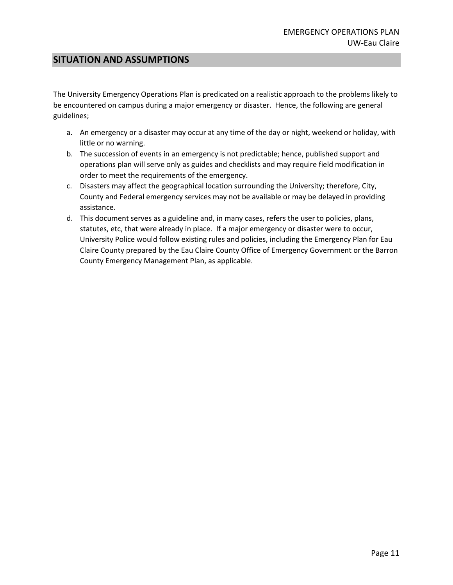## **SITUATION AND ASSUMPTIONS**

The University Emergency Operations Plan is predicated on a realistic approach to the problems likely to be encountered on campus during a major emergency or disaster. Hence, the following are general guidelines;

- a. An emergency or a disaster may occur at any time of the day or night, weekend or holiday, with little or no warning.
- b. The succession of events in an emergency is not predictable; hence, published support and operations plan will serve only as guides and checklists and may require field modification in order to meet the requirements of the emergency.
- c. Disasters may affect the geographical location surrounding the University; therefore, City, County and Federal emergency services may not be available or may be delayed in providing assistance.
- d. This document serves as a guideline and, in many cases, refers the user to policies, plans, statutes, etc, that were already in place. If a major emergency or disaster were to occur, University Police would follow existing rules and policies, including the Emergency Plan for Eau Claire County prepared by the Eau Claire County Office of Emergency Government or the Barron County Emergency Management Plan, as applicable.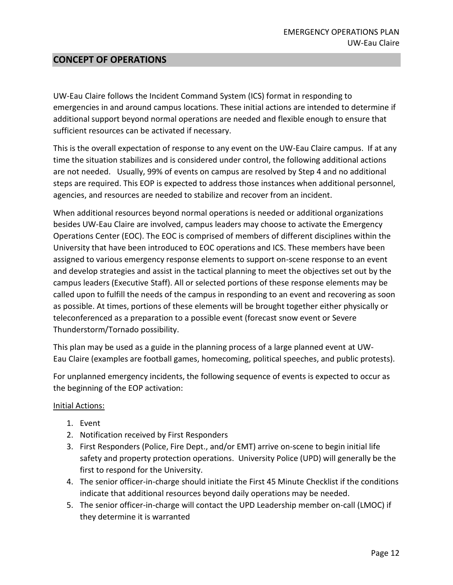# **CONCEPT OF OPERATIONS**

UW-Eau Claire follows the Incident Command System (ICS) format in responding to emergencies in and around campus locations. These initial actions are intended to determine if additional support beyond normal operations are needed and flexible enough to ensure that sufficient resources can be activated if necessary.

This is the overall expectation of response to any event on the UW-Eau Claire campus. If at any time the situation stabilizes and is considered under control, the following additional actions are not needed. Usually, 99% of events on campus are resolved by Step 4 and no additional steps are required. This EOP is expected to address those instances when additional personnel, agencies, and resources are needed to stabilize and recover from an incident.

When additional resources beyond normal operations is needed or additional organizations besides UW-Eau Claire are involved, campus leaders may choose to activate the Emergency Operations Center (EOC). The EOC is comprised of members of different disciplines within the University that have been introduced to EOC operations and ICS. These members have been assigned to various emergency response elements to support on-scene response to an event and develop strategies and assist in the tactical planning to meet the objectives set out by the campus leaders (Executive Staff). All or selected portions of these response elements may be called upon to fulfill the needs of the campus in responding to an event and recovering as soon as possible. At times, portions of these elements will be brought together either physically or teleconferenced as a preparation to a possible event (forecast snow event or Severe Thunderstorm/Tornado possibility.

This plan may be used as a guide in the planning process of a large planned event at UW-Eau Claire (examples are football games, homecoming, political speeches, and public protests).

For unplanned emergency incidents, the following sequence of events is expected to occur as the beginning of the EOP activation:

#### Initial Actions:

- 1. Event
- 2. Notification received by First Responders
- 3. First Responders (Police, Fire Dept., and/or EMT) arrive on-scene to begin initial life safety and property protection operations. University Police (UPD) will generally be the first to respond for the University.
- 4. The senior officer-in-charge should initiate the First 45 Minute Checklist if the conditions indicate that additional resources beyond daily operations may be needed.
- 5. The senior officer-in-charge will contact the UPD Leadership member on-call (LMOC) if they determine it is warranted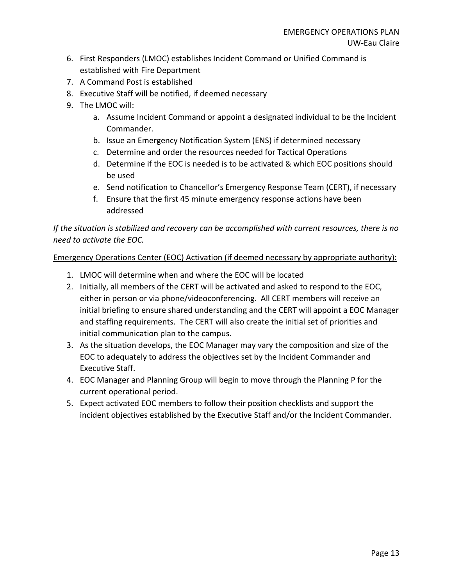- 6. First Responders (LMOC) establishes Incident Command or Unified Command is established with Fire Department
- 7. A Command Post is established
- 8. Executive Staff will be notified, if deemed necessary
- 9. The LMOC will:
	- a. Assume Incident Command or appoint a designated individual to be the Incident Commander.
	- b. Issue an Emergency Notification System (ENS) if determined necessary
	- c. Determine and order the resources needed for Tactical Operations
	- d. Determine if the EOC is needed is to be activated & which EOC positions should be used
	- e. Send notification to Chancellor's Emergency Response Team (CERT), if necessary
	- f. Ensure that the first 45 minute emergency response actions have been addressed

*If the situation is stabilized and recovery can be accomplished with current resources, there is no need to activate the EOC.*

Emergency Operations Center (EOC) Activation (if deemed necessary by appropriate authority):

- 1. LMOC will determine when and where the EOC will be located
- 2. Initially, all members of the CERT will be activated and asked to respond to the EOC, either in person or via phone/videoconferencing. All CERT members will receive an initial briefing to ensure shared understanding and the CERT will appoint a EOC Manager and staffing requirements. The CERT will also create the initial set of priorities and initial communication plan to the campus.
- 3. As the situation develops, the EOC Manager may vary the composition and size of the EOC to adequately to address the objectives set by the Incident Commander and Executive Staff.
- 4. EOC Manager and Planning Group will begin to move through the Planning P for the current operational period.
- 5. Expect activated EOC members to follow their position checklists and support the incident objectives established by the Executive Staff and/or the Incident Commander.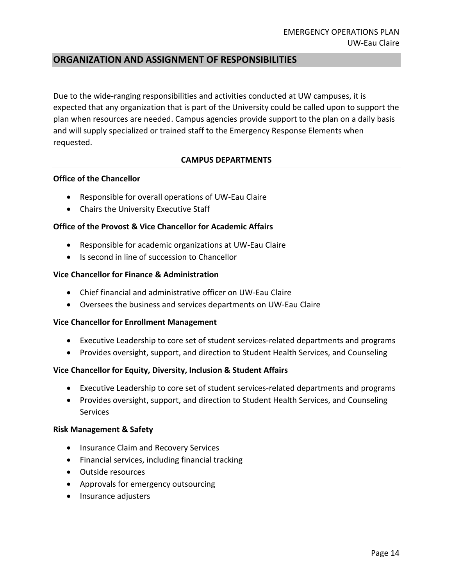# **ORGANIZATION AND ASSIGNMENT OF RESPONSIBILITIES**

Due to the wide-ranging responsibilities and activities conducted at UW campuses, it is expected that any organization that is part of the University could be called upon to support the plan when resources are needed. Campus agencies provide support to the plan on a daily basis and will supply specialized or trained staff to the Emergency Response Elements when requested.

#### **CAMPUS DEPARTMENTS**

#### **Office of the Chancellor**

- Responsible for overall operations of UW-Eau Claire
- Chairs the University Executive Staff

#### **Office of the Provost & Vice Chancellor for Academic Affairs**

- Responsible for academic organizations at UW-Eau Claire
- Is second in line of succession to Chancellor

#### **Vice Chancellor for Finance & Administration**

- Chief financial and administrative officer on UW-Eau Claire
- Oversees the business and services departments on UW-Eau Claire

#### **Vice Chancellor for Enrollment Management**

- Executive Leadership to core set of student services-related departments and programs
- Provides oversight, support, and direction to Student Health Services, and Counseling

#### **Vice Chancellor for Equity, Diversity, Inclusion & Student Affairs**

- Executive Leadership to core set of student services-related departments and programs
- Provides oversight, support, and direction to Student Health Services, and Counseling Services

#### **Risk Management & Safety**

- Insurance Claim and Recovery Services
- Financial services, including financial tracking
- Outside resources
- Approvals for emergency outsourcing
- Insurance adjusters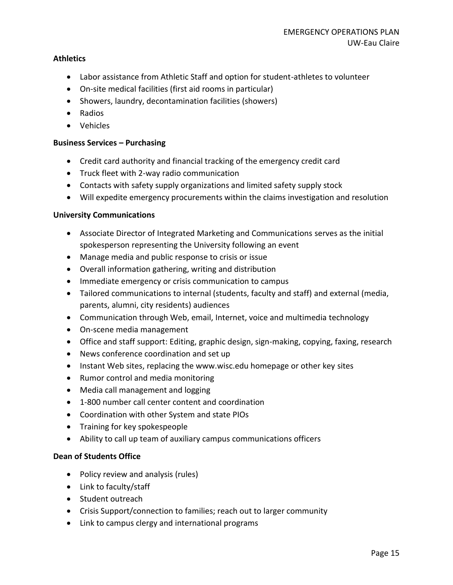#### **Athletics**

- Labor assistance from Athletic Staff and option for student-athletes to volunteer
- On-site medical facilities (first aid rooms in particular)
- Showers, laundry, decontamination facilities (showers)
- Radios
- Vehicles

#### **Business Services – Purchasing**

- Credit card authority and financial tracking of the emergency credit card
- Truck fleet with 2-way radio communication
- Contacts with safety supply organizations and limited safety supply stock
- Will expedite emergency procurements within the claims investigation and resolution

#### **University Communications**

- Associate Director of Integrated Marketing and Communications serves as the initial spokesperson representing the University following an event
- Manage media and public response to crisis or issue
- Overall information gathering, writing and distribution
- Immediate emergency or crisis communication to campus
- Tailored communications to internal (students, faculty and staff) and external (media, parents, alumni, city residents) audiences
- Communication through Web, email, Internet, voice and multimedia technology
- On-scene media management
- Office and staff support: Editing, graphic design, sign-making, copying, faxing, research
- News conference coordination and set up
- Instant Web sites, replacing the www.wisc.edu homepage or other key sites
- Rumor control and media monitoring
- Media call management and logging
- 1-800 number call center content and coordination
- Coordination with other System and state PIOs
- Training for key spokespeople
- Ability to call up team of auxiliary campus communications officers

#### **Dean of Students Office**

- Policy review and analysis (rules)
- Link to faculty/staff
- Student outreach
- Crisis Support/connection to families; reach out to larger community
- Link to campus clergy and international programs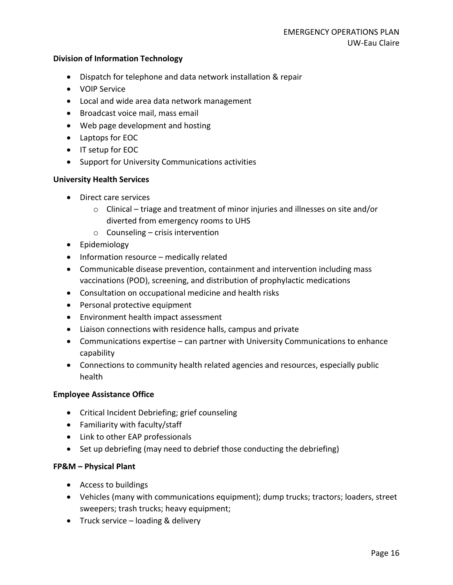#### **Division of Information Technology**

- Dispatch for telephone and data network installation & repair
- VOIP Service
- Local and wide area data network management
- Broadcast voice mail, mass email
- Web page development and hosting
- Laptops for EOC
- IT setup for EOC
- Support for University Communications activities

#### **University Health Services**

- Direct care services
	- $\circ$  Clinical triage and treatment of minor injuries and illnesses on site and/or diverted from emergency rooms to UHS
	- $\circ$  Counseling crisis intervention
- Epidemiology
- Information resource medically related
- Communicable disease prevention, containment and intervention including mass vaccinations (POD), screening, and distribution of prophylactic medications
- Consultation on occupational medicine and health risks
- Personal protective equipment
- Environment health impact assessment
- Liaison connections with residence halls, campus and private
- Communications expertise can partner with University Communications to enhance capability
- Connections to community health related agencies and resources, especially public health

#### **Employee Assistance Office**

- Critical Incident Debriefing; grief counseling
- Familiarity with faculty/staff
- Link to other EAP professionals
- Set up debriefing (may need to debrief those conducting the debriefing)

#### **FP&M – Physical Plant**

- Access to buildings
- Vehicles (many with communications equipment); dump trucks; tractors; loaders, street sweepers; trash trucks; heavy equipment;
- Truck service loading & delivery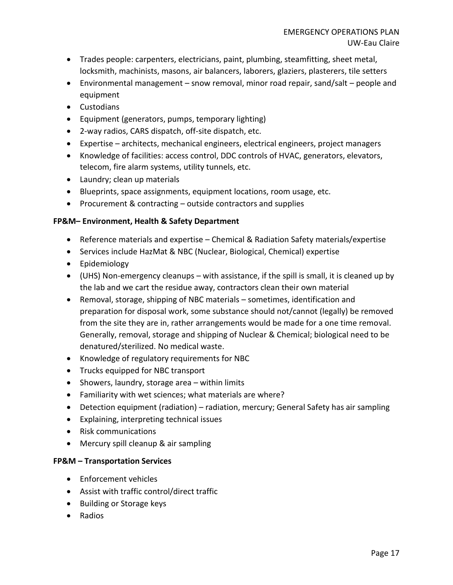- Trades people: carpenters, electricians, paint, plumbing, steamfitting, sheet metal, locksmith, machinists, masons, air balancers, laborers, glaziers, plasterers, tile setters
- Environmental management snow removal, minor road repair, sand/salt people and equipment
- Custodians
- Equipment (generators, pumps, temporary lighting)
- 2-way radios, CARS dispatch, off-site dispatch, etc.
- Expertise architects, mechanical engineers, electrical engineers, project managers
- Knowledge of facilities: access control, DDC controls of HVAC, generators, elevators, telecom, fire alarm systems, utility tunnels, etc.
- Laundry; clean up materials
- Blueprints, space assignments, equipment locations, room usage, etc.
- Procurement & contracting outside contractors and supplies

# **FP&M– Environment, Health & Safety Department**

- Reference materials and expertise Chemical & Radiation Safety materials/expertise
- Services include HazMat & NBC (Nuclear, Biological, Chemical) expertise
- Epidemiology
- (UHS) Non-emergency cleanups with assistance, if the spill is small, it is cleaned up by the lab and we cart the residue away, contractors clean their own material
- Removal, storage, shipping of NBC materials sometimes, identification and preparation for disposal work, some substance should not/cannot (legally) be removed from the site they are in, rather arrangements would be made for a one time removal. Generally, removal, storage and shipping of Nuclear & Chemical; biological need to be denatured/sterilized. No medical waste.
- Knowledge of regulatory requirements for NBC
- Trucks equipped for NBC transport
- Showers, laundry, storage area within limits
- Familiarity with wet sciences; what materials are where?
- Detection equipment (radiation) radiation, mercury; General Safety has air sampling
- Explaining, interpreting technical issues
- Risk communications
- Mercury spill cleanup & air sampling

# **FP&M – Transportation Services**

- Enforcement vehicles
- Assist with traffic control/direct traffic
- Building or Storage keys
- Radios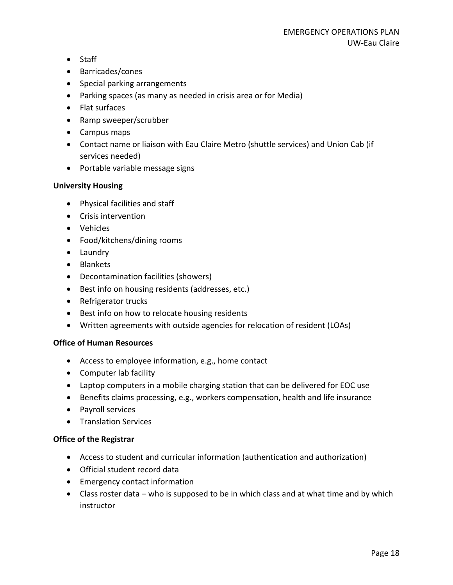- Staff
- Barricades/cones
- Special parking arrangements
- Parking spaces (as many as needed in crisis area or for Media)
- Flat surfaces
- Ramp sweeper/scrubber
- Campus maps
- Contact name or liaison with Eau Claire Metro (shuttle services) and Union Cab (if services needed)
- Portable variable message signs

### **University Housing**

- Physical facilities and staff
- Crisis intervention
- Vehicles
- Food/kitchens/dining rooms
- Laundry
- Blankets
- Decontamination facilities (showers)
- Best info on housing residents (addresses, etc.)
- Refrigerator trucks
- Best info on how to relocate housing residents
- Written agreements with outside agencies for relocation of resident (LOAs)

#### **Office of Human Resources**

- Access to employee information, e.g., home contact
- Computer lab facility
- Laptop computers in a mobile charging station that can be delivered for EOC use
- Benefits claims processing, e.g., workers compensation, health and life insurance
- Payroll services
- Translation Services

# **Office of the Registrar**

- Access to student and curricular information (authentication and authorization)
- Official student record data
- Emergency contact information
- Class roster data who is supposed to be in which class and at what time and by which instructor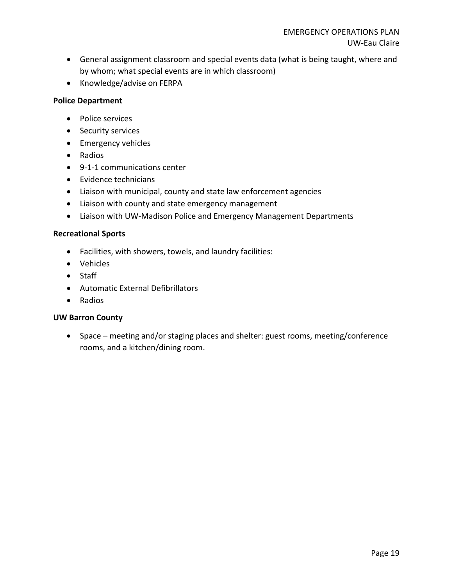- General assignment classroom and special events data (what is being taught, where and by whom; what special events are in which classroom)
- Knowledge/advise on FERPA

#### **Police Department**

- Police services
- Security services
- Emergency vehicles
- Radios
- 9-1-1 communications center
- Evidence technicians
- Liaison with municipal, county and state law enforcement agencies
- Liaison with county and state emergency management
- Liaison with UW-Madison Police and Emergency Management Departments

# **Recreational Sports**

- Facilities, with showers, towels, and laundry facilities:
- Vehicles
- Staff
- Automatic External Defibrillators
- Radios

#### **UW Barron County**

• Space – meeting and/or staging places and shelter: guest rooms, meeting/conference rooms, and a kitchen/dining room.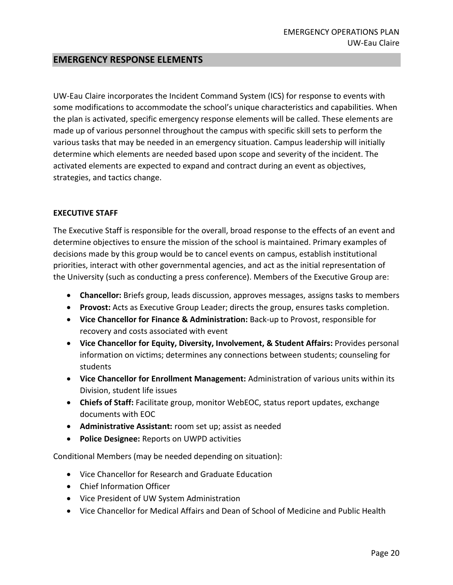# **EMERGENCY RESPONSE ELEMENTS**

UW-Eau Claire incorporates the Incident Command System (ICS) for response to events with some modifications to accommodate the school's unique characteristics and capabilities. When the plan is activated, specific emergency response elements will be called. These elements are made up of various personnel throughout the campus with specific skill sets to perform the various tasks that may be needed in an emergency situation. Campus leadership will initially determine which elements are needed based upon scope and severity of the incident. The activated elements are expected to expand and contract during an event as objectives, strategies, and tactics change.

#### **EXECUTIVE STAFF**

The Executive Staff is responsible for the overall, broad response to the effects of an event and determine objectives to ensure the mission of the school is maintained. Primary examples of decisions made by this group would be to cancel events on campus, establish institutional priorities, interact with other governmental agencies, and act as the initial representation of the University (such as conducting a press conference). Members of the Executive Group are:

- **Chancellor:** Briefs group, leads discussion, approves messages, assigns tasks to members
- **Provost:** Acts as Executive Group Leader; directs the group, ensures tasks completion.
- **Vice Chancellor for Finance & Administration:** Back-up to Provost, responsible for recovery and costs associated with event
- **Vice Chancellor for Equity, Diversity, Involvement, & Student Affairs:** Provides personal information on victims; determines any connections between students; counseling for students
- **Vice Chancellor for Enrollment Management:** Administration of various units within its Division, student life issues
- **Chiefs of Staff:** Facilitate group, monitor WebEOC, status report updates, exchange documents with EOC
- **Administrative Assistant:** room set up; assist as needed
- **Police Designee:** Reports on UWPD activities

Conditional Members (may be needed depending on situation):

- Vice Chancellor for Research and Graduate Education
- Chief Information Officer
- Vice President of UW System Administration
- Vice Chancellor for Medical Affairs and Dean of School of Medicine and Public Health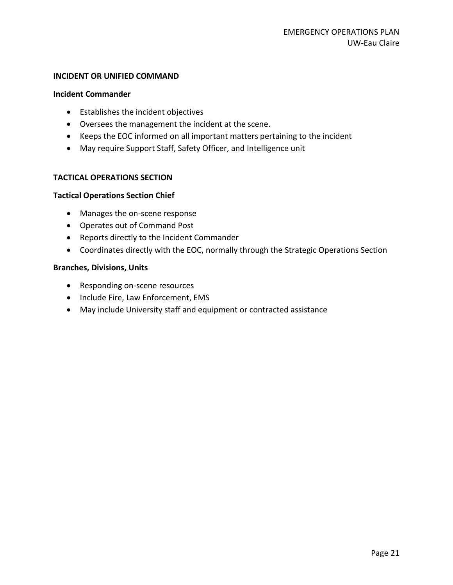#### **INCIDENT OR UNIFIED COMMAND**

#### **Incident Commander**

- Establishes the incident objectives
- Oversees the management the incident at the scene.
- Keeps the EOC informed on all important matters pertaining to the incident
- May require Support Staff, Safety Officer, and Intelligence unit

#### **TACTICAL OPERATIONS SECTION**

#### **Tactical Operations Section Chief**

- Manages the on-scene response
- Operates out of Command Post
- Reports directly to the Incident Commander
- Coordinates directly with the EOC, normally through the Strategic Operations Section

#### **Branches, Divisions, Units**

- Responding on-scene resources
- Include Fire, Law Enforcement, EMS
- May include University staff and equipment or contracted assistance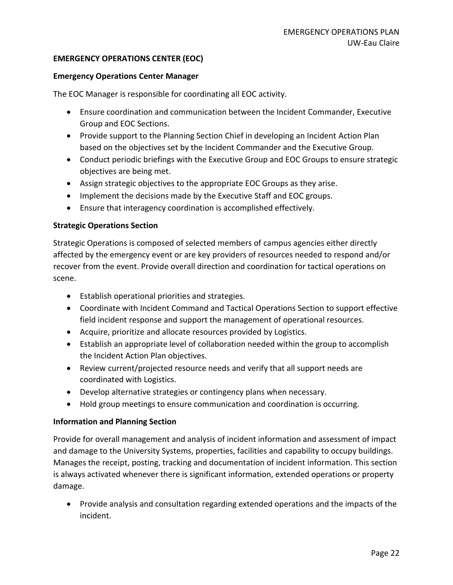#### **EMERGENCY OPERATIONS CENTER (EOC)**

#### **Emergency Operations Center Manager**

The EOC Manager is responsible for coordinating all EOC activity.

- Ensure coordination and communication between the Incident Commander, Executive Group and EOC Sections.
- Provide support to the Planning Section Chief in developing an Incident Action Plan based on the objectives set by the Incident Commander and the Executive Group.
- Conduct periodic briefings with the Executive Group and EOC Groups to ensure strategic objectives are being met.
- Assign strategic objectives to the appropriate EOC Groups as they arise.
- Implement the decisions made by the Executive Staff and EOC groups.
- Ensure that interagency coordination is accomplished effectively.

#### **Strategic Operations Section**

Strategic Operations is composed of selected members of campus agencies either directly affected by the emergency event or are key providers of resources needed to respond and/or recover from the event. Provide overall direction and coordination for tactical operations on scene.

- Establish operational priorities and strategies.
- Coordinate with Incident Command and Tactical Operations Section to support effective field incident response and support the management of operational resources.
- Acquire, prioritize and allocate resources provided by Logistics.
- Establish an appropriate level of collaboration needed within the group to accomplish the Incident Action Plan objectives.
- Review current/projected resource needs and verify that all support needs are coordinated with Logistics.
- Develop alternative strategies or contingency plans when necessary.
- Hold group meetings to ensure communication and coordination is occurring.

#### **Information and Planning Section**

Provide for overall management and analysis of incident information and assessment of impact and damage to the University Systems, properties, facilities and capability to occupy buildings. Manages the receipt, posting, tracking and documentation of incident information. This section is always activated whenever there is significant information, extended operations or property damage.

• Provide analysis and consultation regarding extended operations and the impacts of the incident.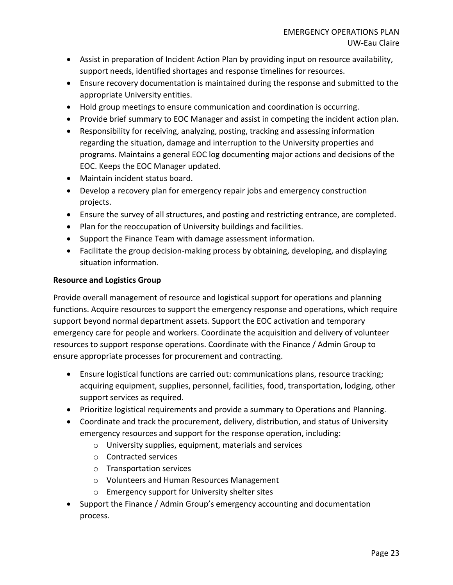- Assist in preparation of Incident Action Plan by providing input on resource availability, support needs, identified shortages and response timelines for resources.
- Ensure recovery documentation is maintained during the response and submitted to the appropriate University entities.
- Hold group meetings to ensure communication and coordination is occurring.
- Provide brief summary to EOC Manager and assist in competing the incident action plan.
- Responsibility for receiving, analyzing, posting, tracking and assessing information regarding the situation, damage and interruption to the University properties and programs. Maintains a general EOC log documenting major actions and decisions of the EOC. Keeps the EOC Manager updated.
- Maintain incident status board.
- Develop a recovery plan for emergency repair jobs and emergency construction projects.
- Ensure the survey of all structures, and posting and restricting entrance, are completed.
- Plan for the reoccupation of University buildings and facilities.
- Support the Finance Team with damage assessment information.
- Facilitate the group decision-making process by obtaining, developing, and displaying situation information.

### **Resource and Logistics Group**

Provide overall management of resource and logistical support for operations and planning functions. Acquire resources to support the emergency response and operations, which require support beyond normal department assets. Support the EOC activation and temporary emergency care for people and workers. Coordinate the acquisition and delivery of volunteer resources to support response operations. Coordinate with the Finance / Admin Group to ensure appropriate processes for procurement and contracting.

- Ensure logistical functions are carried out: communications plans, resource tracking; acquiring equipment, supplies, personnel, facilities, food, transportation, lodging, other support services as required.
- Prioritize logistical requirements and provide a summary to Operations and Planning.
- Coordinate and track the procurement, delivery, distribution, and status of University emergency resources and support for the response operation, including:
	- o University supplies, equipment, materials and services
	- o Contracted services
	- o Transportation services
	- o Volunteers and Human Resources Management
	- o Emergency support for University shelter sites
- Support the Finance / Admin Group's emergency accounting and documentation process.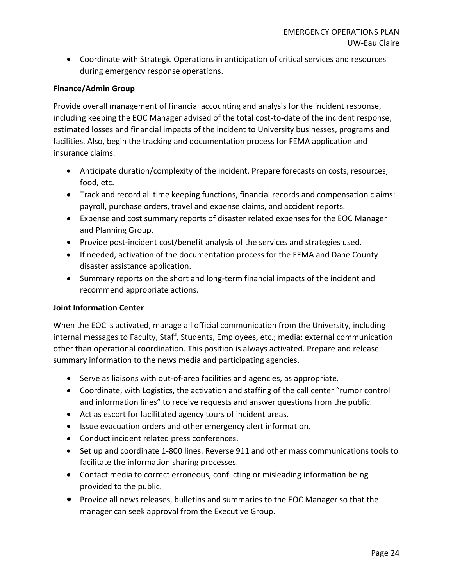• Coordinate with Strategic Operations in anticipation of critical services and resources during emergency response operations.

#### **Finance/Admin Group**

Provide overall management of financial accounting and analysis for the incident response, including keeping the EOC Manager advised of the total cost-to-date of the incident response, estimated losses and financial impacts of the incident to University businesses, programs and facilities. Also, begin the tracking and documentation process for FEMA application and insurance claims.

- Anticipate duration/complexity of the incident. Prepare forecasts on costs, resources, food, etc.
- Track and record all time keeping functions, financial records and compensation claims: payroll, purchase orders, travel and expense claims, and accident reports.
- Expense and cost summary reports of disaster related expenses for the EOC Manager and Planning Group.
- Provide post-incident cost/benefit analysis of the services and strategies used.
- If needed, activation of the documentation process for the FEMA and Dane County disaster assistance application.
- Summary reports on the short and long-term financial impacts of the incident and recommend appropriate actions.

#### **Joint Information Center**

When the EOC is activated, manage all official communication from the University, including internal messages to Faculty, Staff, Students, Employees, etc.; media; external communication other than operational coordination. This position is always activated. Prepare and release summary information to the news media and participating agencies.

- Serve as liaisons with out-of-area facilities and agencies, as appropriate.
- Coordinate, with Logistics, the activation and staffing of the call center "rumor control and information lines" to receive requests and answer questions from the public.
- Act as escort for facilitated agency tours of incident areas.
- Issue evacuation orders and other emergency alert information.
- Conduct incident related press conferences.
- Set up and coordinate 1-800 lines. Reverse 911 and other mass communications tools to facilitate the information sharing processes.
- Contact media to correct erroneous, conflicting or misleading information being provided to the public.
- Provide all news releases, bulletins and summaries to the EOC Manager so that the manager can seek approval from the Executive Group.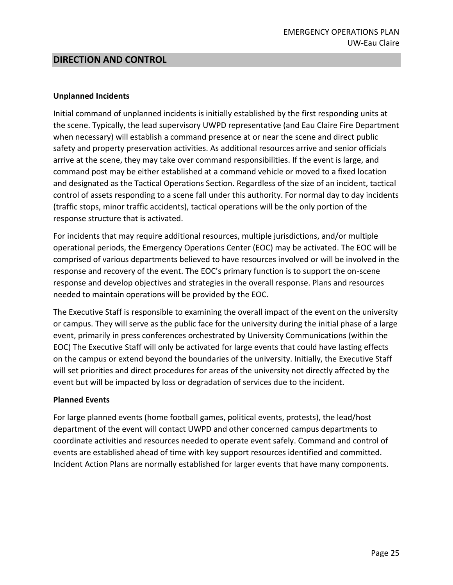# **DIRECTION AND CONTROL**

#### **Unplanned Incidents**

Initial command of unplanned incidents is initially established by the first responding units at the scene. Typically, the lead supervisory UWPD representative (and Eau Claire Fire Department when necessary) will establish a command presence at or near the scene and direct public safety and property preservation activities. As additional resources arrive and senior officials arrive at the scene, they may take over command responsibilities. If the event is large, and command post may be either established at a command vehicle or moved to a fixed location and designated as the Tactical Operations Section. Regardless of the size of an incident, tactical control of assets responding to a scene fall under this authority. For normal day to day incidents (traffic stops, minor traffic accidents), tactical operations will be the only portion of the response structure that is activated.

For incidents that may require additional resources, multiple jurisdictions, and/or multiple operational periods, the Emergency Operations Center (EOC) may be activated. The EOC will be comprised of various departments believed to have resources involved or will be involved in the response and recovery of the event. The EOC's primary function is to support the on-scene response and develop objectives and strategies in the overall response. Plans and resources needed to maintain operations will be provided by the EOC.

The Executive Staff is responsible to examining the overall impact of the event on the university or campus. They will serve as the public face for the university during the initial phase of a large event, primarily in press conferences orchestrated by University Communications (within the EOC) The Executive Staff will only be activated for large events that could have lasting effects on the campus or extend beyond the boundaries of the university. Initially, the Executive Staff will set priorities and direct procedures for areas of the university not directly affected by the event but will be impacted by loss or degradation of services due to the incident.

#### **Planned Events**

For large planned events (home football games, political events, protests), the lead/host department of the event will contact UWPD and other concerned campus departments to coordinate activities and resources needed to operate event safely. Command and control of events are established ahead of time with key support resources identified and committed. Incident Action Plans are normally established for larger events that have many components.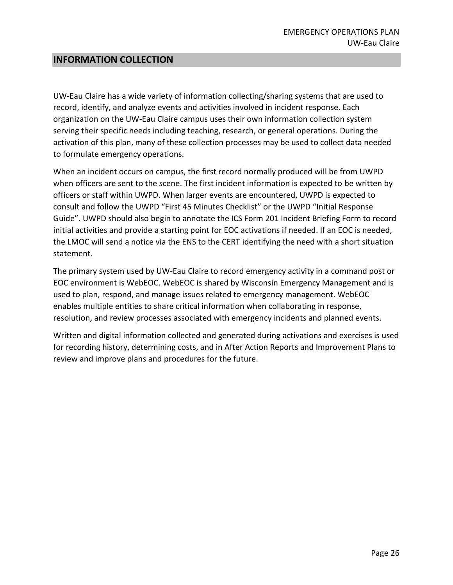## **INFORMATION COLLECTION**

UW-Eau Claire has a wide variety of information collecting/sharing systems that are used to record, identify, and analyze events and activities involved in incident response. Each organization on the UW-Eau Claire campus uses their own information collection system serving their specific needs including teaching, research, or general operations. During the activation of this plan, many of these collection processes may be used to collect data needed to formulate emergency operations.

When an incident occurs on campus, the first record normally produced will be from UWPD when officers are sent to the scene. The first incident information is expected to be written by officers or staff within UWPD. When larger events are encountered, UWPD is expected to consult and follow the UWPD "First 45 Minutes Checklist" or the UWPD "Initial Response Guide". UWPD should also begin to annotate the ICS Form 201 Incident Briefing Form to record initial activities and provide a starting point for EOC activations if needed. If an EOC is needed, the LMOC will send a notice via the ENS to the CERT identifying the need with a short situation statement.

The primary system used by UW-Eau Claire to record emergency activity in a command post or EOC environment is WebEOC. WebEOC is shared by Wisconsin Emergency Management and is used to plan, respond, and manage issues related to emergency management. WebEOC enables multiple entities to share critical information when collaborating in response, resolution, and review processes associated with emergency incidents and planned events.

Written and digital information collected and generated during activations and exercises is used for recording history, determining costs, and in After Action Reports and Improvement Plans to review and improve plans and procedures for the future.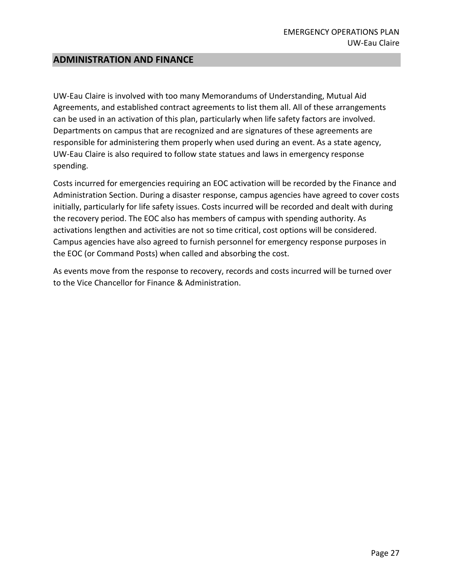## **ADMINISTRATION AND FINANCE**

UW-Eau Claire is involved with too many Memorandums of Understanding, Mutual Aid Agreements, and established contract agreements to list them all. All of these arrangements can be used in an activation of this plan, particularly when life safety factors are involved. Departments on campus that are recognized and are signatures of these agreements are responsible for administering them properly when used during an event. As a state agency, UW-Eau Claire is also required to follow state statues and laws in emergency response spending.

Costs incurred for emergencies requiring an EOC activation will be recorded by the Finance and Administration Section. During a disaster response, campus agencies have agreed to cover costs initially, particularly for life safety issues. Costs incurred will be recorded and dealt with during the recovery period. The EOC also has members of campus with spending authority. As activations lengthen and activities are not so time critical, cost options will be considered. Campus agencies have also agreed to furnish personnel for emergency response purposes in the EOC (or Command Posts) when called and absorbing the cost.

As events move from the response to recovery, records and costs incurred will be turned over to the Vice Chancellor for Finance & Administration.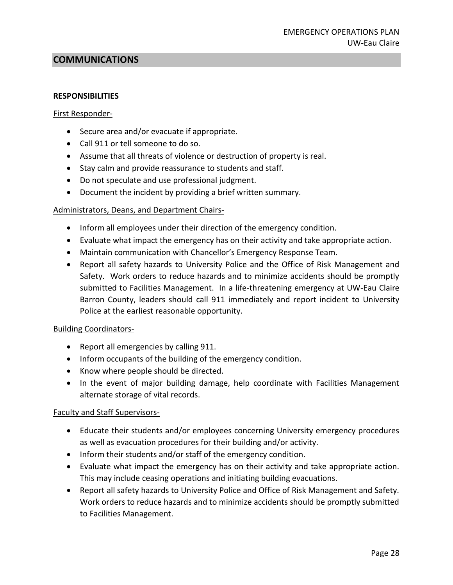# **COMMUNICATIONS**

#### **RESPONSIBILITIES**

#### First Responder-

- Secure area and/or evacuate if appropriate.
- Call 911 or tell someone to do so.
- Assume that all threats of violence or destruction of property is real.
- Stay calm and provide reassurance to students and staff.
- Do not speculate and use professional judgment.
- Document the incident by providing a brief written summary.

#### Administrators, Deans, and Department Chairs-

- Inform all employees under their direction of the emergency condition.
- Evaluate what impact the emergency has on their activity and take appropriate action.
- Maintain communication with Chancellor's Emergency Response Team.
- Report all safety hazards to University Police and the Office of Risk Management and Safety. Work orders to reduce hazards and to minimize accidents should be promptly submitted to Facilities Management. In a life-threatening emergency at UW-Eau Claire Barron County, leaders should call 911 immediately and report incident to University Police at the earliest reasonable opportunity.

#### Building Coordinators-

- Report all emergencies by calling 911.
- Inform occupants of the building of the emergency condition.
- Know where people should be directed.
- In the event of major building damage, help coordinate with Facilities Management alternate storage of vital records.

#### Faculty and Staff Supervisors-

- Educate their students and/or employees concerning University emergency procedures as well as evacuation procedures for their building and/or activity.
- Inform their students and/or staff of the emergency condition.
- Evaluate what impact the emergency has on their activity and take appropriate action. This may include ceasing operations and initiating building evacuations.
- Report all safety hazards to University Police and Office of Risk Management and Safety. Work orders to reduce hazards and to minimize accidents should be promptly submitted to Facilities Management.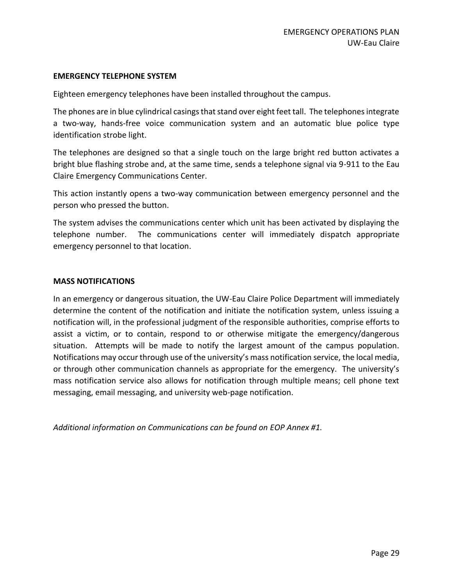#### **EMERGENCY TELEPHONE SYSTEM**

Eighteen emergency telephones have been installed throughout the campus.

The phones are in blue cylindrical casings that stand over eight feet tall. The telephones integrate a two-way, hands-free voice communication system and an automatic blue police type identification strobe light.

The telephones are designed so that a single touch on the large bright red button activates a bright blue flashing strobe and, at the same time, sends a telephone signal via 9-911 to the Eau Claire Emergency Communications Center.

This action instantly opens a two-way communication between emergency personnel and the person who pressed the button.

The system advises the communications center which unit has been activated by displaying the telephone number. The communications center will immediately dispatch appropriate emergency personnel to that location.

#### **MASS NOTIFICATIONS**

In an emergency or dangerous situation, the UW-Eau Claire Police Department will immediately determine the content of the notification and initiate the notification system, unless issuing a notification will, in the professional judgment of the responsible authorities, comprise efforts to assist a victim, or to contain, respond to or otherwise mitigate the emergency/dangerous situation. Attempts will be made to notify the largest amount of the campus population. Notifications may occur through use of the university's mass notification service, the local media, or through other communication channels as appropriate for the emergency. The university's mass notification service also allows for notification through multiple means; cell phone text messaging, email messaging, and university web-page notification.

*Additional information on Communications can be found on EOP Annex #1.*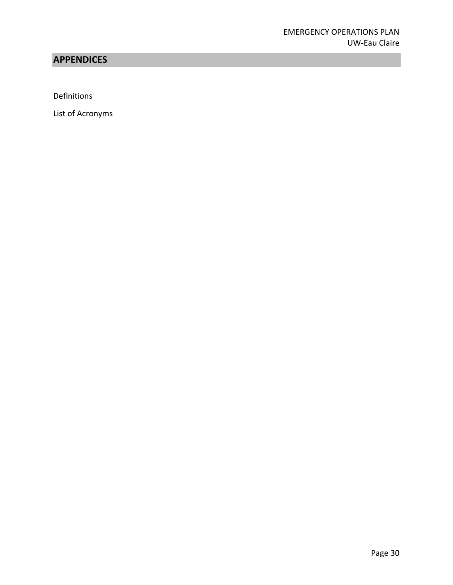# **APPENDICES**

Definitions

List of Acronyms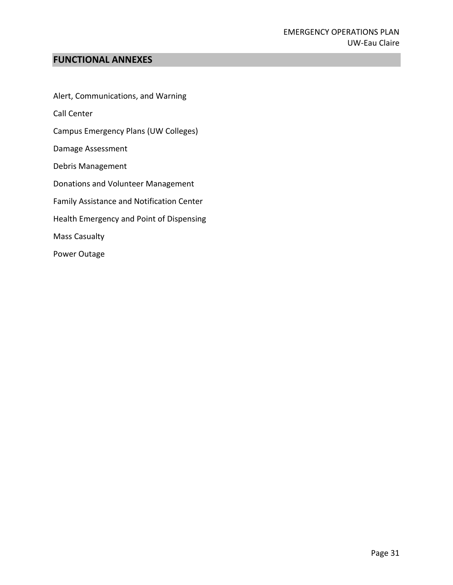# **FUNCTIONAL ANNEXES**

Alert, Communications, and Warning

Call Center

Campus Emergency Plans (UW Colleges)

Damage Assessment

Debris Management

Donations and Volunteer Management

Family Assistance and Notification Center

Health Emergency and Point of Dispensing

Mass Casualty

Power Outage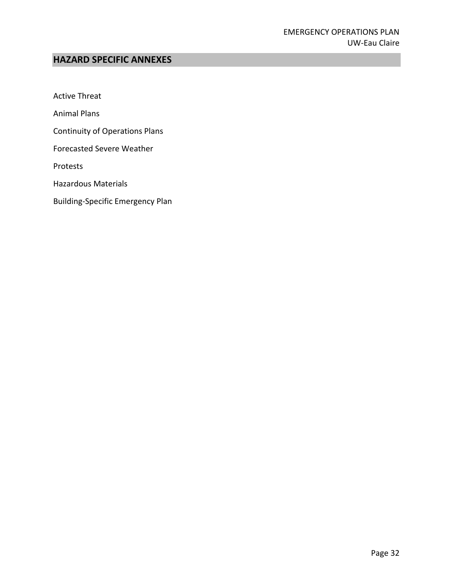# **HAZARD SPECIFIC ANNEXES**

Active Threat

Animal Plans

Continuity of Operations Plans

Forecasted Severe Weather

Protests

Hazardous Materials

Building-Specific Emergency Plan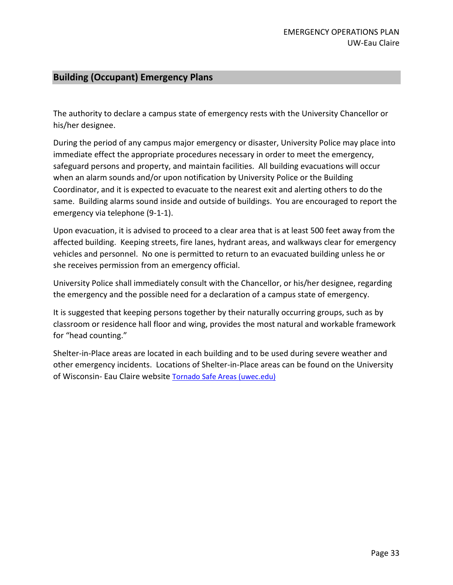# **Building (Occupant) Emergency Plans**

The authority to declare a campus state of emergency rests with the University Chancellor or his/her designee.

During the period of any campus major emergency or disaster, University Police may place into immediate effect the appropriate procedures necessary in order to meet the emergency, safeguard persons and property, and maintain facilities. All building evacuations will occur when an alarm sounds and/or upon notification by University Police or the Building Coordinator, and it is expected to evacuate to the nearest exit and alerting others to do the same. Building alarms sound inside and outside of buildings. You are encouraged to report the emergency via telephone (9-1-1).

Upon evacuation, it is advised to proceed to a clear area that is at least 500 feet away from the affected building. Keeping streets, fire lanes, hydrant areas, and walkways clear for emergency vehicles and personnel. No one is permitted to return to an evacuated building unless he or she receives permission from an emergency official.

University Police shall immediately consult with the Chancellor, or his/her designee, regarding the emergency and the possible need for a declaration of a campus state of emergency.

It is suggested that keeping persons together by their naturally occurring groups, such as by classroom or residence hall floor and wing, provides the most natural and workable framework for "head counting."

Shelter-in-Place areas are located in each building and to be used during severe weather and other emergency incidents. Locations of Shelter-in-Place areas can be found on the University of Wisconsin- Eau Claire website [Tornado Safe Areas \(uwec.edu\)](https://www.uwec.edu/risk-management-safety/tornado-safe-areas/)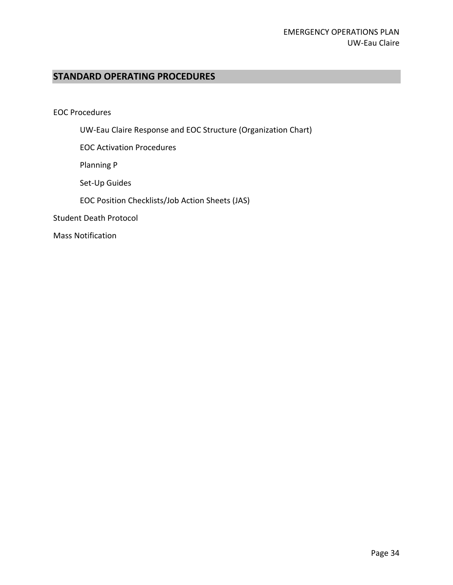# **STANDARD OPERATING PROCEDURES**

EOC Procedures

UW-Eau Claire Response and EOC Structure (Organization Chart)

EOC Activation Procedures

Planning P

Set-Up Guides

EOC Position Checklists/Job Action Sheets (JAS)

Student Death Protocol

Mass Notification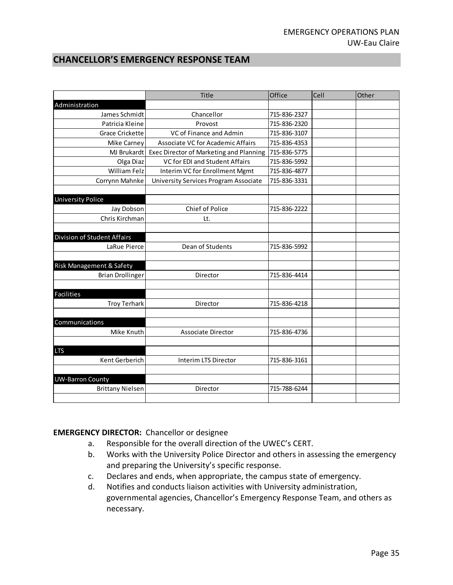# **CHANCELLOR'S EMERGENCY RESPONSE TEAM**

|                                    | Title                                   | Office       | Cell | Other |
|------------------------------------|-----------------------------------------|--------------|------|-------|
| Administration                     |                                         |              |      |       |
| James Schmidt                      | Chancellor                              | 715-836-2327 |      |       |
| Patricia Kleine                    | Provost                                 | 715-836-2320 |      |       |
| <b>Grace Crickette</b>             | VC of Finance and Admin                 | 715-836-3107 |      |       |
| Mike Carney                        | Associate VC for Academic Affairs       | 715-836-4353 |      |       |
| MJ Brukardt                        | Exec Director of Marketing and Planning | 715-836-5775 |      |       |
| Olga Diaz                          | VC for EDI and Student Affairs          | 715-836-5992 |      |       |
| <b>William Felz</b>                | Interim VC for Enrollment Mgmt          | 715-836-4877 |      |       |
| Corrynn Mahnke                     | University Services Program Associate   | 715-836-3331 |      |       |
|                                    |                                         |              |      |       |
| <b>University Police</b>           |                                         |              |      |       |
| Jay Dobson                         | <b>Chief of Police</b>                  | 715-836-2222 |      |       |
| Chris Kirchman                     | Lt.                                     |              |      |       |
|                                    |                                         |              |      |       |
| <b>Division of Student Affairs</b> |                                         |              |      |       |
| LaRue Pierce                       | Dean of Students                        | 715-836-5992 |      |       |
|                                    |                                         |              |      |       |
| Risk Management & Safety           |                                         |              |      |       |
| <b>Brian Drollinger</b>            | Director                                | 715-836-4414 |      |       |
|                                    |                                         |              |      |       |
| <b>Facilities</b>                  |                                         |              |      |       |
| <b>Troy Terhark</b>                | Director                                | 715-836-4218 |      |       |
|                                    |                                         |              |      |       |
| Communications                     |                                         |              |      |       |
| Mike Knuth                         | <b>Associate Director</b>               | 715-836-4736 |      |       |
|                                    |                                         |              |      |       |
| <b>LTS</b>                         |                                         |              |      |       |
| Kent Gerberich                     | Interim LTS Director                    | 715-836-3161 |      |       |
|                                    |                                         |              |      |       |
| <b>UW-Barron County</b>            |                                         |              |      |       |
| <b>Brittany Nielsen</b>            | Director                                | 715-788-6244 |      |       |
|                                    |                                         |              |      |       |

#### **EMERGENCY DIRECTOR:** Chancellor or designee

- a. Responsible for the overall direction of the UWEC's CERT.
- b. Works with the University Police Director and others in assessing the emergency and preparing the University's specific response.
- c. Declares and ends, when appropriate, the campus state of emergency.
- d. Notifies and conducts liaison activities with University administration, governmental agencies, Chancellor's Emergency Response Team, and others as necessary.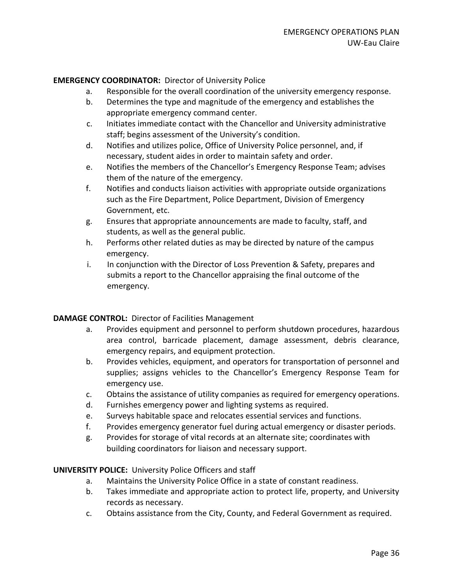#### **EMERGENCY COORDINATOR:** Director of University Police

- a. Responsible for the overall coordination of the university emergency response.
- b. Determines the type and magnitude of the emergency and establishes the appropriate emergency command center.
- c. Initiates immediate contact with the Chancellor and University administrative staff; begins assessment of the University's condition.
- d. Notifies and utilizes police, Office of University Police personnel, and, if necessary, student aides in order to maintain safety and order.
- e. Notifies the members of the Chancellor's Emergency Response Team; advises them of the nature of the emergency.
- f. Notifies and conducts liaison activities with appropriate outside organizations such as the Fire Department, Police Department, Division of Emergency Government, etc.
- g. Ensures that appropriate announcements are made to faculty, staff, and students, as well as the general public.
- h. Performs other related duties as may be directed by nature of the campus emergency.
- i. In conjunction with the Director of Loss Prevention & Safety, prepares and submits a report to the Chancellor appraising the final outcome of the emergency.

#### **DAMAGE CONTROL:** Director of Facilities Management

- a. Provides equipment and personnel to perform shutdown procedures, hazardous area control, barricade placement, damage assessment, debris clearance, emergency repairs, and equipment protection.
- b. Provides vehicles, equipment, and operators for transportation of personnel and supplies; assigns vehicles to the Chancellor's Emergency Response Team for emergency use.
- c. Obtains the assistance of utility companies as required for emergency operations.
- d. Furnishes emergency power and lighting systems as required.
- e. Surveys habitable space and relocates essential services and functions.
- f. Provides emergency generator fuel during actual emergency or disaster periods.
- g. Provides for storage of vital records at an alternate site; coordinates with building coordinators for liaison and necessary support.

#### **UNIVERSITY POLICE:** University Police Officers and staff

- a. Maintains the University Police Office in a state of constant readiness.
- b. Takes immediate and appropriate action to protect life, property, and University records as necessary.
- c. Obtains assistance from the City, County, and Federal Government as required.